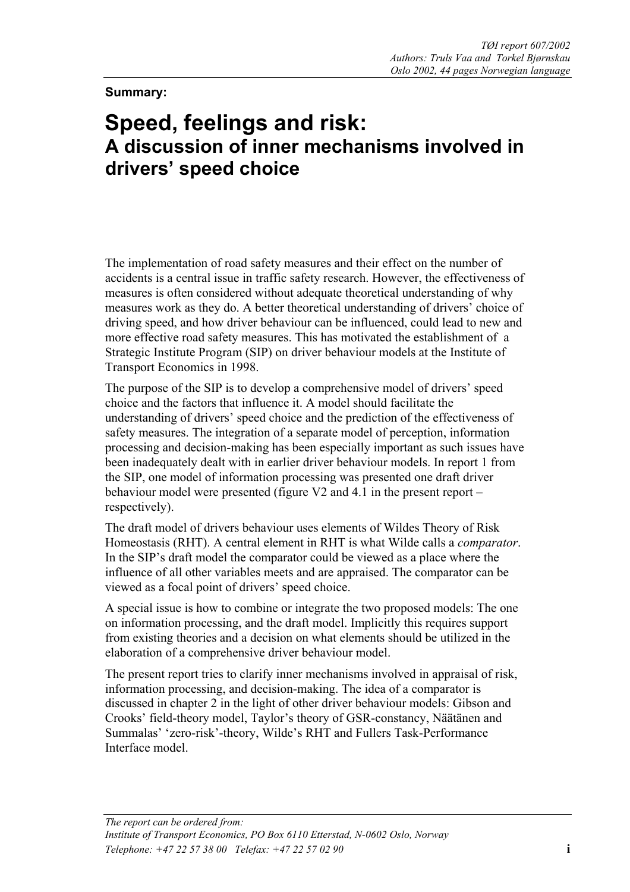**Summary:** 

## **Speed, feelings and risk: A discussion of inner mechanisms involved in drivers' speed choice**

The implementation of road safety measures and their effect on the number of accidents is a central issue in traffic safety research. However, the effectiveness of measures is often considered without adequate theoretical understanding of why measures work as they do. A better theoretical understanding of drivers' choice of driving speed, and how driver behaviour can be influenced, could lead to new and more effective road safety measures. This has motivated the establishment of a Strategic Institute Program (SIP) on driver behaviour models at the Institute of Transport Economics in 1998.

The purpose of the SIP is to develop a comprehensive model of drivers' speed choice and the factors that influence it. A model should facilitate the understanding of drivers' speed choice and the prediction of the effectiveness of safety measures. The integration of a separate model of perception, information processing and decision-making has been especially important as such issues have been inadequately dealt with in earlier driver behaviour models. In report 1 from the SIP, one model of information processing was presented one draft driver behaviour model were presented (figure V2 and 4.1 in the present report – respectively).

The draft model of drivers behaviour uses elements of Wildes Theory of Risk Homeostasis (RHT). A central element in RHT is what Wilde calls a *comparator*. In the SIP's draft model the comparator could be viewed as a place where the influence of all other variables meets and are appraised. The comparator can be viewed as a focal point of drivers' speed choice.

A special issue is how to combine or integrate the two proposed models: The one on information processing, and the draft model. Implicitly this requires support from existing theories and a decision on what elements should be utilized in the elaboration of a comprehensive driver behaviour model.

The present report tries to clarify inner mechanisms involved in appraisal of risk, information processing, and decision-making. The idea of a comparator is discussed in chapter 2 in the light of other driver behaviour models: Gibson and Crooks' field-theory model, Taylor's theory of GSR-constancy, Näätänen and Summalas' 'zero-risk'-theory, Wilde's RHT and Fullers Task-Performance Interface model.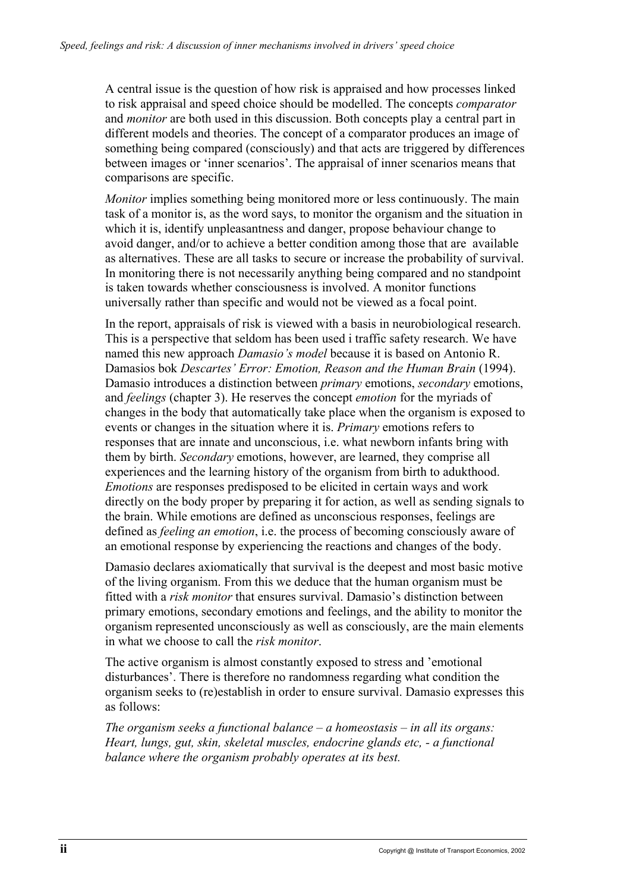A central issue is the question of how risk is appraised and how processes linked to risk appraisal and speed choice should be modelled. The concepts *comparator* and *monitor* are both used in this discussion. Both concepts play a central part in different models and theories. The concept of a comparator produces an image of something being compared (consciously) and that acts are triggered by differences between images or 'inner scenarios'. The appraisal of inner scenarios means that comparisons are specific.

*Monitor* implies something being monitored more or less continuously. The main task of a monitor is, as the word says, to monitor the organism and the situation in which it is, identify unpleasantness and danger, propose behaviour change to avoid danger, and/or to achieve a better condition among those that are available as alternatives. These are all tasks to secure or increase the probability of survival. In monitoring there is not necessarily anything being compared and no standpoint is taken towards whether consciousness is involved. A monitor functions universally rather than specific and would not be viewed as a focal point.

In the report, appraisals of risk is viewed with a basis in neurobiological research. This is a perspective that seldom has been used i traffic safety research. We have named this new approach *Damasio's model* because it is based on Antonio R. Damasios bok *Descartes' Error: Emotion, Reason and the Human Brain* (1994). Damasio introduces a distinction between *primary* emotions, *secondary* emotions, and *feelings* (chapter 3). He reserves the concept *emotion* for the myriads of changes in the body that automatically take place when the organism is exposed to events or changes in the situation where it is. *Primary* emotions refers to responses that are innate and unconscious, i.e. what newborn infants bring with them by birth. *Secondary* emotions, however, are learned, they comprise all experiences and the learning history of the organism from birth to adukthood. *Emotions* are responses predisposed to be elicited in certain ways and work directly on the body proper by preparing it for action, as well as sending signals to the brain. While emotions are defined as unconscious responses, feelings are defined as *feeling an emotion*, i.e. the process of becoming consciously aware of an emotional response by experiencing the reactions and changes of the body.

Damasio declares axiomatically that survival is the deepest and most basic motive of the living organism. From this we deduce that the human organism must be fitted with a *risk monitor* that ensures survival. Damasio's distinction between primary emotions, secondary emotions and feelings, and the ability to monitor the organism represented unconsciously as well as consciously, are the main elements in what we choose to call the *risk monitor*.

The active organism is almost constantly exposed to stress and 'emotional disturbances'. There is therefore no randomness regarding what condition the organism seeks to (re)establish in order to ensure survival. Damasio expresses this as follows:

*The organism seeks a functional balance – a homeostasis – in all its organs: Heart, lungs, gut, skin, skeletal muscles, endocrine glands etc, - a functional balance where the organism probably operates at its best.*